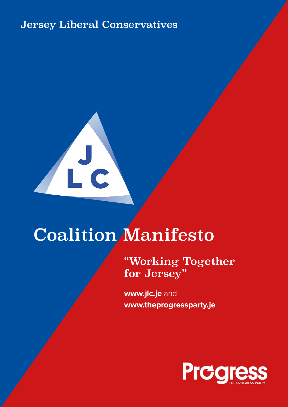## Jersey Liberal Conservatives



# Coalition Manifesto

"Working Together for Jersey"

**www.jlc.je** and **www.theprogressparty.je**

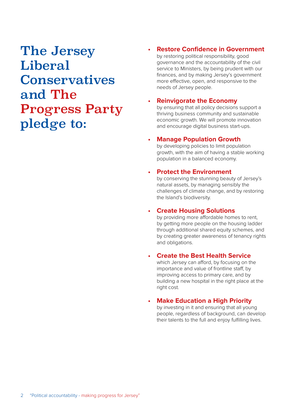## The Jersey Liberal **Conservatives** and The Progress Party pledge to:

#### **• Restore Confidence in Government** by restoring political responsibility, good governance and the accountability of the civil service to Ministers, by being prudent with our finances, and by making Jersey's government more effective, open, and responsive to the needs of Jersey people.

#### **• Reinvigorate the Economy**

by ensuring that all policy decisions support a thriving business community and sustainable economic growth. We will promote innovation and encourage digital business start-ups.

#### **• Manage Population Growth**

by developing policies to limit population growth, with the aim of having a stable working population in a balanced economy.

#### **• Protect the Environment**

by conserving the stunning beauty of Jersey's natural assets, by managing sensibly the challenges of climate change, and by restoring the Island's biodiversity.

### **• Create Housing Solutions**

by providing more affordable homes to rent, by getting more people on the housing ladder through additional shared equity schemes, and by creating greater awareness of tenancy rights and obligations.

### **• Create the Best Health Service**

which Jersey can afford, by focusing on the importance and value of frontline staff, by improving access to primary care, and by building a new hospital in the right place at the right cost.

### **• Make Education a High Priority**

by investing in it and ensuring that all young people, regardless of background, can develop their talents to the full and enjoy fulfilling lives.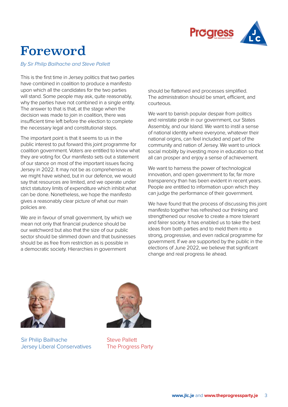

## Foreword

By Sir Philip Bailhache and Steve Pallett

This is the first time in Jersey politics that two parties have combined in coalition to produce a manifesto upon which all the candidates for the two parties will stand. Some people may ask, quite reasonably, why the parties have not combined in a single entity. The answer to that is that, at the stage when the decision was made to join in coalition, there was insufficient time left before the election to complete the necessary legal and constitutional steps.

The important point is that it seems to us in the public interest to put forward this joint programme for coalition government. Voters are entitled to know what they are voting for. Our manifesto sets out a statement of our stance on most of the important issues facing Jersey in 2022. It may not be as comprehensive as we might have wished, but in our defence, we would say that resources are limited, and we operate under strict statutory limits of expenditure which inhibit what can be done. Nonetheless, we hope the manifesto gives a reasonably clear picture of what our main policies are.

We are in favour of small government, by which we mean not only that financial prudence should be our watchword but also that the size of our public sector should be slimmed down and that businesses should be as free from restriction as is possible in a democratic society. Hierarchies in government

should be flattened and processes simplified. The administration should be smart, efficient, and courteous.

We want to banish popular despair from politics and reinstate pride in our government, our States Assembly, and our Island. We want to instil a sense of national identity where everyone, whatever their national origins, can feel included and part of the community and nation of Jersey. We want to unlock social mobility by investing more in education so that all can prosper and enjoy a sense of achievement.

We want to harness the power of technological innovation, and open government to far, far more transparency than has been evident in recent years. People are entitled to information upon which they can judge the performance of their government.

We have found that the process of discussing this joint manifesto together has refreshed our thinking and strengthened our resolve to create a more tolerant and fairer society. It has enabled us to take the best ideas from both parties and to meld them into a strong, progressive, and even radical programme for government. If we are supported by the public in the elections of June 2022, we believe that significant change and real progress lie ahead.



Sir Philip Bailhache Jersey Liberal Conservatives



Steve Pallett The Progress Party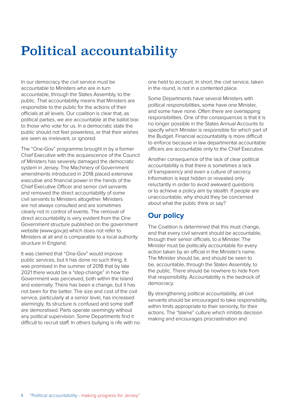## Political accountability

In our democracy the civil service must be accountable to Ministers who are in turn accountable, through the States Assembly, to the public. That accountability means that Ministers are responsible to the public for the actions of their officials at all levels. Our coalition is clear that, as political parties, we are accountable at the ballot box to those who vote for us. In a democratic state the public should not feel powerless, or that their wishes are seen as irrelevant, or ignored.

The "One-Gov" programme brought in by a former Chief Executive with the acquiescence of the Council of Ministers has severely damaged the democratic system in Jersey. The Machinery of Government amendments introduced in 2018 placed extensive executive and financial power in the hands of the Chief Executive Officer and senior civil servants and removed the direct accountability of some civil servants to Ministers altogether. Ministers are not always consulted and are sometimes clearly not in control of events. The removal of direct accountability is very evident from the One Government structure published on the government website (www.gov.je) which does not refer to Ministers at all and is comparable to a local authority structure in England.

It was claimed that "One-Gov" would improve public services, but it has done no such thing. It was promised in the summer of 2018 that by late 2021 there would be a "step-change" in how the Government was perceived, both within the Island and externally. There has been a change, but it has not been for the better. The size and cost of the civil service, particularly at a senior level, has increased alarmingly. Its structure is confused and some staff are demoralised. Parts operate seemingly without any political supervision. Some Departments find it difficult to recruit staff. In others bullying is rife with no one held to account. In short, the civil service, taken in the round, is not in a contented place.

Some Departments have several Ministers with political responsibilities, some have one Minister, and some have none. Often there are overlapping responsibilities. One of the consequences is that it is no longer possible in the States Annual Accounts to specify which Minister is responsible for which part of the Budget. Financial accountability is more difficult to enforce because in law departmental accountable officers are accountable only to the Chief Executive.

Another consequence of the lack of clear political accountability is that there is sometimes a lack of transparency and even a culture of secrecy. Information is kept hidden or revealed only reluctantly in order to avoid awkward questions or to achieve a policy aim by stealth. If people are unaccountable, why should they be concerned about what the public think or say?

## **Our policy**

The Coalition is determined that this must change, and that every civil servant should be accountable, through their senior officials, to a Minister. The Minister must be politically accountable for every action taken by an official in the Minister's name. The Minister should be, and should be seen to be, accountable, through the States Assembly, to the public. There should be nowhere to hide from that responsibility. Accountability is the bedrock of democracy.

By strengthening political accountability, all civil servants should be encouraged to take responsibility, within limits appropriate to their seniority, for their actions. The "blame" culture which inhibits decision making and encourages procrastination and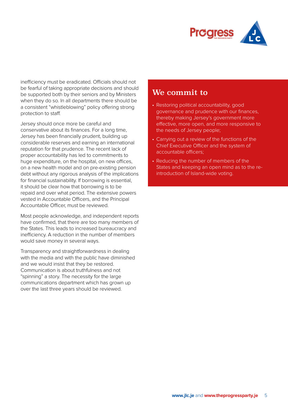

inefficiency must be eradicated. Officials should not be fearful of taking appropriate decisions and should be supported both by their seniors and by Ministers when they do so. In all departments there should be a consistent "whistleblowing" policy offering strong protection to staff.

Jersey should once more be careful and conservative about its finances. For a long time, Jersey has been financially prudent, building up considerable reserves and earning an international reputation for that prudence. The recent lack of proper accountability has led to commitments to huge expenditure, on the hospital, on new offices, on a new health model and on pre-existing pension debt without any rigorous analysis of the implications for financial sustainability. If borrowing is essential, it should be clear how that borrowing is to be repaid and over what period. The extensive powers vested in Accountable Officers, and the Principal Accountable Officer, must be reviewed.

Most people acknowledge, and independent reports have confirmed, that there are too many members of the States. This leads to increased bureaucracy and inefficiency. A reduction in the number of members would save money in several ways.

Transparency and straightforwardness in dealing with the media and with the public have diminished and we would insist that they be restored. Communication is about truthfulness and not "spinning" a story. The necessity for the large communications department which has grown up over the last three years should be reviewed.

- Restoring political accountability, good governance and prudence with our finances, thereby making Jersey's government more effective, more open, and more responsive to the needs of Jersey people;
- Carrying out a review of the functions of the Chief Executive Officer and the system of accountable officers;
- Reducing the number of members of the States and keeping an open mind as to the reintroduction of Island-wide voting.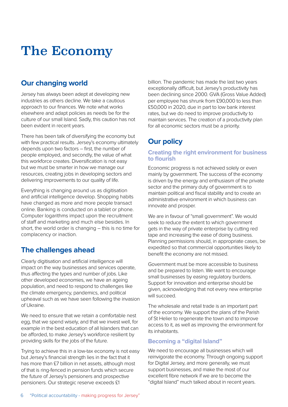## The Economy

### **Our changing world**

Jersey has always been adept at developing new industries as others decline. We take a cautious approach to our finances. We note what works elsewhere and adapt policies as needs be for the culture of our small Island. Sadly, this caution has not been evident in recent years.

There has been talk of diversifying the economy but with few practical results. Jersey's economy ultimately depends upon two factors – first, the number of people employed, and secondly, the value of what this workforce creates. Diversification is not easy but we must be smarter in how we manage our resources, creating jobs in developing sectors and delivering improvements to our quality of life.

Everything is changing around us as digitisation and artificial intelligence develop. Shopping habits have changed as more and more people transact online. Banking is conducted on a tablet or phone. Computer logarithms impact upon the recruitment of staff and marketing and much else besides. In short, the world order is changing – this is no time for complacency or inaction.

### **The challenges ahead**

Clearly digitisation and artificial intelligence will impact on the way businesses and services operate, thus affecting the types and number of jobs. Like other developed economies, we have an ageing population, and need to respond to challenges like the climate emergency, pandemics, and political upheaval such as we have seen following the invasion of Ukraine.

We need to ensure that we retain a comfortable nest egg, that we spend wisely, and that we invest well, for example in the best education of all Islanders that can be afforded, to make Jersey's workforce resilient by providing skills for the jobs of the future.

Trying to achieve this in a low-tax economy is not easy but Jersey's financial strength lies in the fact that it has more than £7 billion in net assets, although most of that is ring-fenced in pension funds which secure the future of Jersey's pensioners and prospective pensioners. Our strategic reserve exceeds £1

billion. The pandemic has made the last two years exceptionally difficult, but Jersey's productivity has been declining since 2000. GVA (Gross Value Added) per employee has shrunk from £90,000 to less than £50,000 in 2020, due in part to low bank interest rates, but we do need to improve productivity to maintain services. The creation of a productivity plan for all economic sectors must be a priority.

## **Our policy**

#### **Creating the right environment for business to flourish**

Economic progress is not achieved solely or even mainly by government. The success of the economy is driven by the energy and enthusiasm of the private sector and the primary duty of government is to maintain political and fiscal stability and to create an administrative environment in which business can innovate and prosper.

We are in favour of "small government". We would seek to reduce the extent to which government gets in the way of private enterprise by cutting red tape and increasing the ease of doing business. Planning permissions should, in appropriate cases, be expedited so that commercial opportunities likely to benefit the economy are not missed.

Government must be more accessible to business and be prepared to listen. We want to encourage small businesses by easing regulatory burdens. Support for innovation and enterprise should be given, acknowledging that not every new enterprise will succeed.

The wholesale and retail trade is an important part of the economy. We support the plans of the Parish of St Helier to regenerate the town and to improve access to it, as well as improving the environment for its inhabitants.

### **Becoming a "digital Island"**

We need to encourage all businesses which will reinvigorate the economy. Through ongoing support for Digital Jersey, and more generally, we must support businesses, and make the most of our excellent fibre network if we are to become the "digital Island" much talked about in recent years.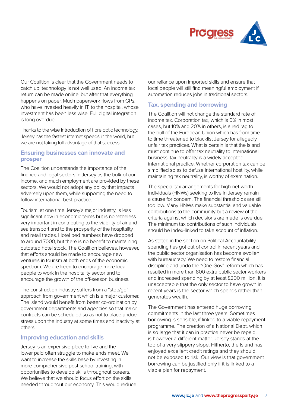

Our Coalition is clear that the Government needs to catch up; technology is not well used. An income tax return can be made online, but after that everything happens on paper. Much paperwork flows from GPs, who have invested heavily in IT, to the hospital, whose investment has been less wise. Full digital integration is long overdue.

Thanks to the wise introduction of fibre optic technology, Jersey has the fastest internet speeds in the world, but we are not taking full advantage of that success.

#### **Ensuring businesses can innovate and prosper**

The Coalition understands the importance of the finance and legal sectors in Jersey as the bulk of our income, and much employment are provided by these sectors. We would not adopt any policy that impacts adversely upon them, while supporting the need to follow international best practice.

Tourism, at one time Jersey's major industry, is less significant now in economic terms but is nonetheless very important in contributing to the viability of air and sea transport and to the prosperity of the hospitality and retail trades. Hotel bed numbers have dropped to around 7000, but there is no benefit to maintaining outdated hotel stock. The Coalition believes, however, that efforts should be made to encourage new ventures in tourism at both ends of the economic spectrum. We are keen to encourage more local people to work in the hospitality sector and to encourage the growth of the off-season business.

The construction industry suffers from a "stop/go" approach from government which is a major customer. The Island would benefit from better co-ordination by government departments and agencies so that major contracts can be scheduled so as not to place undue stress upon the industry at some times and inactivity at others.

#### **Improving education and skills**

Jersey is an expensive place to live and the lower paid often struggle to make ends meet. We want to increase the skills base by investing in more comprehensive post-school training, with opportunities to develop skills throughout careers. We believe that we should focus effort on the skills needed throughout our economy. This would reduce our reliance upon imported skills and ensure that local people will still find meaningful employment if automation reduces jobs in traditional sectors.

#### **Tax, spending and borrowing**

The Coalition will not change the standard rate of income tax. Corporation tax, which is 0% in most cases, but 10% and 20% in others, is a red rag to the bull of the European Union which has from time to time threatened to blacklist Jersey for allegedly unfair tax practices. What is certain is that the Island must continue to offer tax neutrality to international business; tax neutrality is a widely accepted international practice. Whether corporation tax can be simplified so as to defuse international hostility, while maintaining tax neutrality, is worthy of examination.

The special tax arrangements for high-net-worth individuals (HNWs) seeking to live in Jersey remain a cause for concern. The financial thresholds are still too low. Many HNWs make substantial and valuable contributions to the community but a review of the criteria against which decisions are made is overdue. The minimum tax contributions of such individuals should be index-linked to take account of inflation.

As stated in the section on Political Accountability, spending has got out of control in recent years and the public sector organisation has become swollen with bureaucracy. We need to restore financial discipline and undo the "One-Gov" reform which has resulted in more than 800 extra public sector workers and increased spending by at least £200 million. It is unacceptable that the only sector to have grown in recent years is the sector which spends rather than generates wealth.

The Government has entered huge borrowing commitments in the last three years. Sometimes borrowing is sensible, if linked to a viable repayment programme. The creation of a National Debt, which is so large that it can in practice never be repaid, is however a different matter. Jersey stands at the top of a very slippery slope. Hitherto, the Island has enjoyed excellent credit ratings and they should not be exposed to risk. Our view is that government borrowing can be justified only if it is linked to a viable plan for repayment.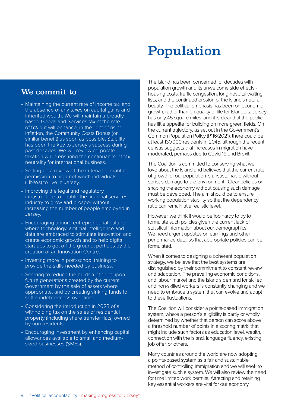## Population

### We commit to

- Maintaining the current rate of income tax and the absence of any taxes on capital gains and inherited wealth. We will maintain a broadly based Goods and Services tax at the rate of 5% but will enhance, in the light of rising inflation, the Community Costs Bonus (or similar benefit) as soon as possible. Stability has been the key to Jersey's success during past decades. We will review corporate taxation while ensuring the continuance of tax neutrality for international business.
- Setting up a review of the criteria for granting permission to high-net-worth individuals (HNWs) to live in Jersey.
- Improving the legal and regulatory infrastructure to enable the financial services industry to grow and prosper without increasing the number of people employed in Jersey.
- Encouraging a more entrepreneurial culture where technology, artificial intelligence and data are embraced to stimulate innovation and create economic growth and to help digital start-ups to get off the ground, perhaps by the creation of an Innovation Centre.
- Investing more in post-school training to provide the skills needed by business.
- Seeking to reduce the burden of debt upon future generations created by the current Government by the sale of assets where appropriate, and by creating sinking funds to settle indebtedness over time.
- Considering the introduction in 2023 of a withholding tax on the sales of residential property (including share transfer flats) owned by non-residents.
- Encouraging investment by enhancing capital allowances available to small and mediumsized businesses (SMEs).

The Island has been concerned for decades with population growth and its unwelcome side effects housing costs, traffic congestion, long hospital waiting lists, and the continued erosion of the Island's natural beauty. The political emphasis has been on economic growth, rather than on quality of life for Islanders. Jersey has only 45 square miles, and it is clear that the public has little appetite for building on more green fields. On the current trajectory, as set out in the Government's Common Population Policy (P.116/2021), there could be at least 130,000 residents in 2045, although the recent census suggests that increases in migration have moderated, perhaps due to Covid-19 and Brexit.

The Coalition is committed to conserving what we love about the Island and believes that the current rate of growth of our population is unsustainable without serious damage to the environment. Clear policies on shaping the economy without causing such damage must be developed. The aim should be to ensure working population stability so that the dependency ratio can remain at a realistic level.

However, we think it would be foolhardy to try to formulate such policies given the current lack of statistical information about our demographics. We need urgent updates on earnings and other performance data, so that appropriate policies can be formulated.

When it comes to designing a coherent population strategy, we believe that the best systems are distinguished by their commitment to constant review and adaptation. The prevailing economic conditions, and labour market and the Island's demand for skilled and non-skilled workers is constantly changing and we need to embrace a system that can evolve and adapt to these fluctuations.

The Coalition will consider a points-based immigration system, where a person's eligibility is partly or wholly determined by whether that person can score above a threshold number of points in a scoring matrix that might include such factors as education level, wealth, connection with the Island, language fluency, existing job offer, or others.

Many countries around the world are now adopting a points-based system as a fair and sustainable method of controlling immigration and we will seek to investigate such a system. We will also review the need for time limited work permits. Attracting and retaining key essential workers are vital for our economy.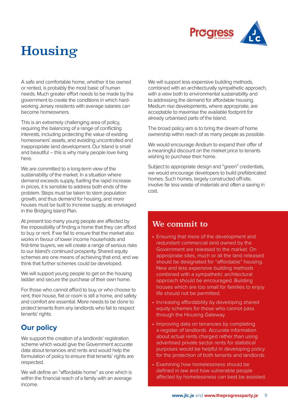

## Housing

A safe and comfortable home, whether it be owned or rented, is probably the most basic of human needs. Much greater effort needs to be made by the government to create the conditions in which hardworking Jersey residents with average salaries can become homeowners.

This is an extremely challenging area of policy, requiring the balancing of a range of conflicting interests, including protecting the value of existing homeowners' assets, and avoiding uncontrolled and inappropriate land development. Our Island is small and beautiful – this is why many people love living here.

We are committed to a long-term view of the sustainability of the market. In a situation where demand exceeds supply, fuelling the rapid increase in prices, it is sensible to address both ends of the problem. Steps must be taken to stem population growth, and thus demand for housing, and more houses must be built to increase supply, as envisaged in the Bridging Island Plan.

At present too many young people are affected by the impossibility of finding a home that they can afford to buy or rent. If we fail to ensure that the market also works in favour of lower income households and first-time buyers, we will create a range of serious risks to our Island's continued prosperity. Shared equity schemes are one means of achieving that end, and we think that further schemes could be developed.

We will support young people to get on the housing ladder and secure the purchase of their own home.

For those who cannot afford to buy, or who choose to rent, their house, flat or room is still a home, and safety and comfort are essential. More needs to be done to protect tenants from any landlords who fail to respect tenants' rights.

### **Our policy**

We support the creation of a landlords' registration scheme which would give the Government accurate data about tenancies and rents and would help the formulation of policy to ensure that tenants' rights are respected.

We will define an "affordable home" as one which is within the financial reach of a family with an average income.

We will support less expensive building methods, combined with an architecturally sympathetic approach, with a view both to environmental sustainability and to addressing the demand for affordable housing. Medium rise developments, where appropriate, are acceptable to maximise the available footprint for already urbanised parts of the Island.

The broad policy aim is to bring the dream of home ownership within reach of as many people as possible.

We would encourage Andium to expand their offer of a meaningful discount on the market price to tenants wishing to purchase their home.

Subject to appropriate design and "green" credentials, we would encourage developers to build prefabricated homes. Such homes, largely constructed off-site. involve far less waste of materials and often a saving in cost.

- Ensuring that more of the development and redundant commercial land owned by the Government are released to the market. On appropriate sites, much or all the land released should be designated for "affordable" housing. New and less expensive building methods combined with a sympathetic architectural approach should be encouraged. Building houses which are too small for families to enjoy life should not be permitted.
- Increasing affordability by developing shared equity schemes for those who cannot pass through the Housing Gateway.
- Improving data on tenancies by completing a register of landlords. Accurate information about actual rents charged rather than using advertised private sector rents for statistical purposes would be helpful in developing policy for the protection of both tenants and landlords.
- Examining how homelessness should be defined in law and how vulnerable people affected by homelessness can best be assisted.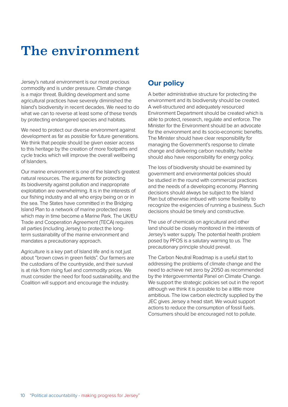## The environment

Jersey's natural environment is our most precious commodity and is under pressure. Climate change is a major threat. Building development and some agricultural practices have severely diminished the Island's biodiversity in recent decades. We need to do what we can to reverse at least some of these trends by protecting endangered species and habitats.

We need to protect our diverse environment against development as far as possible for future generations. We think that people should be given easier access to this heritage by the creation of more footpaths and cycle tracks which will improve the overall wellbeing of Islanders.

Our marine environment is one of the Island's greatest natural resources. The arguments for protecting its biodiversity against pollution and inappropriate exploitation are overwhelming. It is in the interests of our fishing industry and all who enjoy being on or in the sea. The States have committed in the Bridging Island Plan to a network of marine protected areas which may in time become a Marine Park. The UK/EU Trade and Cooperation Agreement (TECA) requires all parties (including Jersey) to protect the longterm sustainability of the marine environment and mandates a precautionary approach.

Agriculture is a key part of Island life and is not just about "brown cows in green fields". Our farmers are the custodians of the countryside, and their survival is at risk from rising fuel and commodity prices. We must consider the need for food sustainability, and the Coalition will support and encourage the industry.

## **Our policy**

A better administrative structure for protecting the environment and its biodiversity should be created. A well-structured and adequately resourced Environment Department should be created which is able to protect, research, regulate and enforce. The Minister for the Environment should be an advocate for the environment and its socio-economic benefits. The Minister should have clear responsibility for managing the Government's response to climate change and delivering carbon neutrality; he/she should also have responsibility for energy policy.

The loss of biodiversity should be examined by government and environmental policies should be studied in the round with commercial practices and the needs of a developing economy. Planning decisions should always be subject to the Island Plan but otherwise imbued with some flexibility to recognize the exigencies of running a business. Such decisions should be timely and constructive.

The use of chemicals on agricultural and other land should be closely monitored in the interests of Jersey's water supply. The potential health problem posed by PFOS is a salutary warning to us. The precautionary principle should prevail.

The Carbon Neutral Roadmap is a useful start to addressing the problems of climate change and the need to achieve net zero by 2050 as recommended by the Intergovernmental Panel on Climate Change. We support the strategic policies set out in the report although we think it is possible to be a little more ambitious. The low carbon electricity supplied by the JEC gives Jersey a head start. We would support actions to reduce the consumption of fossil fuels. Consumers should be encouraged not to pollute.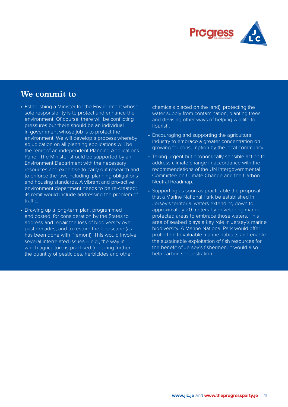

## We commit to

- Establishing a Minister for the Environment whose sole responsibility is to protect and enhance the environment. Of course, there will be conflicting pressures but there should be an individual in government whose job is to protect the environment. We will develop a process whereby adjudication on all planning applications will be the remit of an independent Planning Applications Panel. The Minister should be supported by an Environment Department with the necessary resources and expertise to carry out research and to enforce the law, including planning obligations and housing standards. A vibrant and pro-active environment department needs to be re-created; its remit would include addressing the problem of traffic.
- Drawing up a long-term plan, programmed and costed, for consideration by the States to address and repair the loss of biodiversity over past decades, and to restore the landscape (as has been done with Plémont). This would involve several interrelated issues – e.g., the way in which agriculture is practised (reducing further the quantity of pesticides, herbicides and other

chemicals placed on the land), protecting the water supply from contamination, planting trees, and devising other ways of helping wildlife to flourish.

- Encouraging and supporting the agricultural industry to embrace a greater concentration on growing for consumption by the local community.
- Taking urgent but economically sensible action to address climate change in accordance with the recommendations of the UN Intergovernmental Committee on Climate Change and the Carbon Neutral Roadmap.
- Supporting as soon as practicable the proposal that a Marine National Park be established in Jersey's territorial waters extending down to approximately 20 meters by developing marine protected areas to embrace those waters. This area of seabed plays a key role in Jersey's marine biodiversity. A Marine National Park would offer protection to valuable marine habitats and enable the sustainable exploitation of fish resources for the benefit of Jersey's fishermen. It would also help carbon sequestration.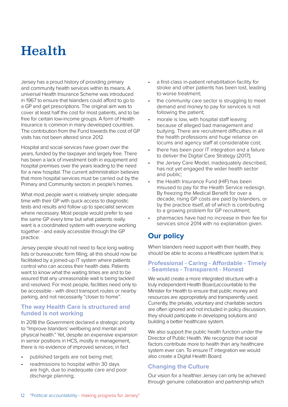## Health

Jersey has a proud history of providing primary and community health services within its means. A universal Health Insurance Scheme was introduced in 1967 to ensure that Islanders could afford to go to a GP and get prescriptions. The original aim was to cover at least half the cost for most patients, and to be free for certain low-income groups. A form of Health Insurance is common in many developed countries. The contribution from the Fund towards the cost of GP visits has not been altered since 2012.

Hospital and social services have grown over the years, funded by the taxpayer and largely free. There has been a lack of investment both in equipment and hospital premises over the years leading to the need for a new hospital. The current administration believes that more hospital services must be carried out by the Primary and Community sectors in people's homes.

What most people want is relatively simple: adequate time with their GP with quick access to diagnostic tests and results and follow up to specialist services where necessary. Most people would prefer to see the same GP every time but what patients really want is a coordinated system with everyone working together - and easily accessible through the GP practice.

Jersey people should not need to face long waiting lists or bureaucratic form filling; all this should now be facilitated by a joined-up IT system where patients control who can access their health data. Patients want to know what the waiting times are and to be assured that any unreasonable wait is being tackled and resolved. For most people, facilities need only to be accessible - with direct transport routes or nearby parking, and not necessarily "closer to home".

#### **The way Health Care is structured and funded is not working**

In 2018 the Government declared a strategic priority to "Improve Islanders' wellbeing and mental and physical health." Yet, despite an expensive expansion in senior positions in HCS, mostly in management, there is no evidence of improved services; in fact

- published targets are not being met;
- readmissions to hospital within 30 days are high, due to inadequate care and poor discharge planning;
- a first-class in-patient rehabilitation facility for stroke and other patients has been lost, leading to worse treatment;
- the community care sector is struggling to meet demand and money to pay for services is not following the patient;
- morale is low, with hospital staff leaving because of alleged bad management and bullying. There are recruitment difficulties in all the health professions and huge reliance on locums and agency staff at considerable cost;
- there has been poor IT integration and a failure to deliver the Digital Care Strategy (2017);
- the Jersey Care Model, inadequately described. has not yet engaged the wider health sector and public;
- the Health Insurance Fund (HIF) has been misused to pay for the Health Service redesign. By freezing the Medical Benefit for over a decade, rising GP costs are paid by Islanders, or by the practice itself, all of which is contributing to a growing problem for GP recruitment;
- pharmacies have had no increase in their fee for services since 2014 with no explanation given.

## **Our policy**

When Islanders need support with their health, they should be able to access a Healthcare system that is:

#### **Professional - Caring - Affordable - Timely - Seamless - Transparent - Honest**

We would create a more integrated structure with a truly independent Health Board,accountable to the Minister for Health to ensure that public money and resources are appropriately and transparently used. Currently, the private, voluntary and charitable sectors are often ignored and not included in policy discussion; they should participate in developing solutions and building a better healthcare system.

We also support the public health function under the Director of Public Health. We recognize that social factors contribute more to health than any healthcare system ever can. To ensure IT integration we would also create a Digital Health Board.

### **Changing the Culture**

Our vision for a healthier Jersey can only be achieved through genuine collaboration and partnership which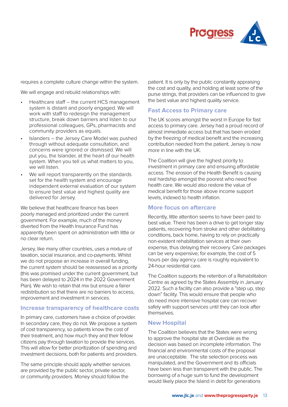

requires a complete culture change within the system.

We will engage and rebuild relationships with:

- Healthcare staff the current HCS management system is distant and poorly engaged. We will work with staff to redesign the management structure, break down barriers and listen to our professional colleagues, GPs, pharmacists and community providers as equals.
- Islanders the Jersey Care Model was pushed through without adequate consultation, and concerns were ignored or dismissed. We will put you, the Islander, at the heart of our health system. When you tell us what matters to you, we will listen.
- We will report transparently on the standards set for the health system and encourage independent external evaluation of our system to ensure best value and highest quality are delivered for Jersey.

We believe that healthcare finance has been poorly managed and prioritized under the current government. For example, much of the money diverted from the Health Insurance Fund has apparently been spent on administration with little or no clear return.

Jersey, like many other countries, uses a mixture of taxation, social insurance, and co-payments. Whilst we do not propose an increase in overall funding, the current system should be reassessed as a priority (this was promised under the current government, but has been delayed to 2024 in the 2022 Government Plan). We wish to retain that mix but ensure a fairer redistribution so that there are no barriers to access, improvement and investment in services.

#### **Increase transparency of healthcare costs**

In primary care, customers have a choice of provider. In secondary care, they do not. We propose a system of cost transparency, so patients know the cost of their treatment, and how much they and their fellow citizens pay through taxation to provide the services. This will allow for better prioritization of spending and investment decisions, both for patients and providers.

The same principle should apply whether services are provided by the public sector, private sector, or community providers. Money should follow the

patient. It is only by the public constantly appraising the cost and quality, and holding at least some of the purse strings, that providers can be influenced to give the best value and highest quality service.

#### **Fast Access to Primary care**

The UK scores amongst the worst in Europe for fast access to primary care. Jersey had a proud record of almost immediate access but that has been eroded by the freezing of medical benefit and the increasing contribution needed from the patient. Jersey is now more in line with the UK.

The Coalition will give the highest priority to investment in primary care and ensuring affordable access. The erosion of the Health Benefit is causing real hardship amongst the poorest who need free health care. We would also restore the value of medical benefit for those above income support levels, indexed to health inflation.

#### **More focus on aftercare**

Recently, little attention seems to have been paid to best value. There has been a drive to get longer stay patients, recovering from stroke and other debilitating conditions, back home, having to rely on practically non-existent rehabilitation services at their own expense, thus delaying their recovery. Care packages can be very expensive; for example, the cost of 5 hours per day agency care is roughly equivalent to 24-hour residential care.

The Coalition supports the retention of a Rehabilitation Centre as agreed by the States Assembly in January 2022. Such a facility can also provide a "step up, step down" facility. This would ensure that people who do need more intensive hospital care can recover safely with support services until they can look after themselves.

#### **New Hospital**

The Coalition believes that the States were wrong to approve the hospital site at Overdale as the decision was based on incomplete information. The financial and environmental costs of the proposal are unacceptable. The site selection process was manipulated, and the Government and its officials have been less than transparent with the public. The borrowing of a huge sum to fund the development would likely place the Island in debt for generations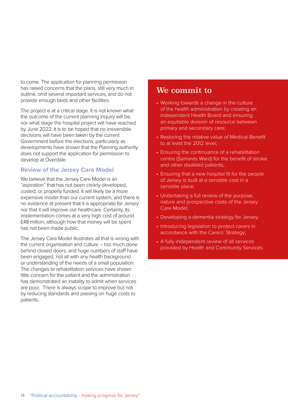to come. The application for planning permission has raised concerns that the plans, still very much in outline, omit several important services, and do not provide enough beds and other facilities.

The project is at a critical stage. It is not known what the outcome of the current planning inquiry will be, nor what stage the hospital project will have reached by June 2022. It is to be hoped that no irreversible decisions will have been taken by the current Government before the elections, particularly as developments have shown that the Planning authority does not support the application for permission to develop at Overdale.

#### **Review of the Jersey Care Model**

We believe that the Jersey Care Model is an "aspiration" that has not been clearly developed, costed, or properly funded. It will likely be a more expensive model than our current system, and there is no evidence at present that it is appropriate for Jersey nor that it will improve our healthcare. Certainly, its implementation comes at a very high cost of around £48 million, although how that money will be spent has not been made public.

The Jersey Care Model illustrates all that is wrong with the current organisation and culture – too much done behind closed doors, and huge numbers of staff have been engaged, not all with any health background or understanding of the needs of a small population. The changes to rehabilitation services have shown little concern for the patient and the administration has demonstrated an inability to admit when services are poor. There is always scope to improve but not by reducing standards and passing on huge costs to patients.

- Working towards a change in the culture of the health administration by creating an independent Health Board and ensuring an equitable division of resource between primary and secondary care;
- Restoring the relative value of Medical Benefit to at least the 2012 level;
- Ensuring the continuance of a rehabilitation centre (Samarés Ward) for the benefit of stroke and other disabled patients;
- Ensuring that a new hospital fit for the people of Jersey is built at a sensible cost in a sensible place;
- Undertaking a full review of the purpose, nature and prospective costs of the Jersey Care Model;
- Developing a dementia strategy for Jersey;
- Introducing legislation to protect carers in accordance with the Carers' Strategy;
- A fully independent review of all services provided by Health and Community Services.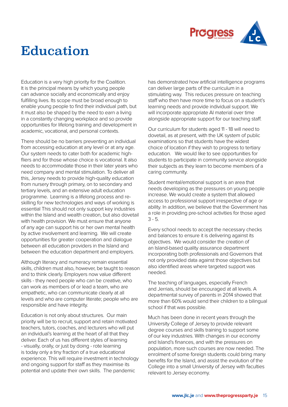

## Education

Education is a very high priority for the Coalition. It is the principal means by which young people can advance socially and economically and enjoy fulfilling lives. Its scope must be broad enough to enable young people to find their individual path, but it must also be shaped by the need to earn a living in a constantly changing workplace and so provide opportunities for lifelong training and development in academic, vocational, and personal contexts.

There should be no barriers preventing an individual from accessing education at any level or at any age. Our system needs to cater both for academic highfliers and for those whose choice is vocational. It also needs to accommodate those in their later years who need company and mental stimulation. To deliver all this, Jersey needs to provide high-quality education from nursery through primary, on to secondary and tertiary levels, and an extensive adult education programme. Learning is a lifelong process and reskilling for new technologies and ways of working is essential This should not only support key industries within the Island and wealth creation, but also dovetail with health provision. We must ensure that anyone of any age can support his or her own mental health by active involvement and learning. We will create opportunities for greater cooperation and dialogue between all education providers in the Island and between the education department and employers.

Although literacy and numeracy remain essential skills, children must also, however, be taught to reason and to think clearly. Employers now value different skills - they need people who can be creative, who can work as members of or lead a team, who are empathetic, who can communicate clearly at all levels and who are computer literate; people who are responsible and have integrity.

Education is not only about structures. Our main priority will be to recruit, support and retain motivated teachers, tutors, coaches, and lecturers who will put an individual's learning at the heart of all that they deliver. Each of us has different styles of learning - visually, orally, or just by doing - rote learning is today only a tiny fraction of a true educational experience. This will require investment in technology and ongoing support for staff as they maximise its potential and update their own skills. The pandemic

has demonstrated how artificial intelligence programs can deliver large parts of the curriculum in a stimulating way. This reduces pressure on teaching staff who then have more time to focus on a student's learning needs and provide individual support. We will incorporate appropriate AI material over time alongside appropriate support for our teaching staff.

Our curriculum for students aged 11 - 18 will need to dovetail, as at present, with the UK system of public examinations so that students have the widest choice of location if they wish to progress to tertiary education. We would like to see opportunities for students to participate in community service alongside their subjects as they learn to become members of a caring community.

Student mental/emotional support is an area that needs developing as the pressures on young people increase. We would create a system that allowed access to professional support irrespective of age or ability. In addition, we believe that the Government has a role in providing pre-school activities for those aged  $3 - 5.$ 

Every school needs to accept the necessary checks and balances to ensure it is delivering against its objectives. We would consider the creation of an Island-based quality assurance department incorporating both professionals and Governors that not only provided data against those objectives but also identified areas where targeted support was needed.

The teaching of languages, especially French and Jerriais, should be encouraged at all levels. A departmental survey of parents in 2014 showed that more than 60% would send their children to a bilingual school if that was possible.

Much has been done in recent years through the University College of Jersey to provide relevant degree courses and skills training to support some of our key industries. With changes in our economy and Island's finances, and with the pressures on population, more such courses are now needed. The enrolment of some foreign students could bring many benefits for the Island, and assist the evolution of the College into a small University of Jersey with faculties relevant to Jersey economy.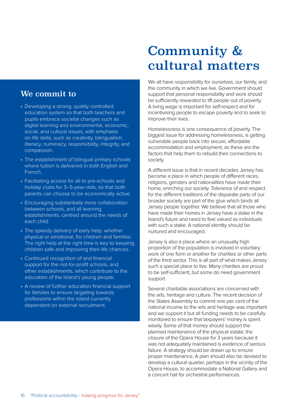### We commit to

- Developing a strong, quality controlled, education system so that both teachers and pupils embrace societal changes such as digital learning and environmental, economic, social, and cultural issues, with emphasis on life skills, such as creativity, bilingualism, literacy, numeracy, responsibility, integrity, and compassion.
- The establishment of bilingual primary schools where tuition is delivered in both English and French.
- Facilitating access for all to pre-schools and holiday clubs for 3–5-year-olds, so that both parents can choose to be economically active.
- Encouraging substantially more collaboration between schools, and all learning establishments, centred around the needs of each child.
- The speedy delivery of early help, whether physical or emotional, for children and families. The right help at the right time is key to keeping children safe and improving their life chances.
- Continued recognition of and financial support for the not-for-profit schools, and other establishments, which contribute to the education of the Island's young people.
- A review of further education financial support for families to ensure targeting towards professions within the island currently dependent on external recruitment.

## Community & cultural matters

We all have responsibility for ourselves, our family, and the community in which we live. Government should support that personal responsibility and work should be sufficiently rewarded to lift people out of poverty. A living wage is important for self-respect and for incentivising people to escape poverty and to seek to improve their lives.

Homelessness is one consequence of poverty. The biggest issue for addressing homelessness, is getting vulnerable people back into secure, affordable accommodation and employment, as these are the factors that help them to rebuild their connections to society.

A different issue is that in recent decades Jersey has become a place in which people of different races, religions, genders and nationalities have made their home, enriching our society. Tolerance of and respect for the different traditions of the disparate parts of our broader society are part of the glue which binds all Jersey people together. We believe that all those who have made their homes in Jersey have a stake in the Island's future and need to feel valued as individuals with such a stake. A national identity should be nurtured and encouraged.

Jersey is also a place where an unusually high proportion of the population is involved in voluntary work of one form or another for charities or other parts of the third sector. This is all part of what makes Jersey such a special place to live. Many charities are proud to be self-sufficient, but some do need government support.

Several charitable associations are concerned with the arts, heritage and culture. The recent decision of the States Assembly to commit one per cent of the national income to the arts and heritage was important and we support it but all funding needs to be carefully monitored to ensure that taxpayers' money is spent wisely. Some of that money should support the planned maintenance of the physical estate; the closure of the Opera House for 3 years because it was not adequately maintained is evidence of serious failure. A strategy should be drawn up to ensure proper maintenance. A plan should also be devised to develop a cultural quarter, perhaps in the vicinity of the Opera House, to accommodate a National Gallery and a concert hall for orchestral performances.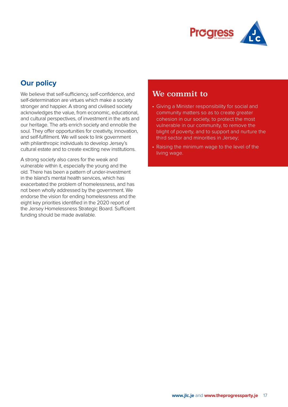

## **Our policy**

We believe that self-sufficiency, self-confidence, and self-determination are virtues which make a society stronger and happier. A strong and civilised society acknowledges the value, from economic, educational, and cultural perspectives, of investment in the arts and our heritage. The arts enrich society and ennoble the soul. They offer opportunities for creativity, innovation, and self-fulfilment. We will seek to link government with philanthropic individuals to develop Jersey's cultural estate and to create exciting new institutions.

A strong society also cares for the weak and vulnerable within it, especially the young and the old. There has been a pattern of under-investment in the Island's mental health services, which has exacerbated the problem of homelessness, and has not been wholly addressed by the government. We endorse the vision for ending homelessness and the eight key priorities identified in the 2020 report of the Jersey Homelessness Strategic Board. Sufficient funding should be made available.

- Giving a Minister responsibility for social and community matters so as to create greater cohesion in our society, to protect the most vulnerable in our community, to remove the blight of poverty, and to support and nurture the third sector and minorities in Jersey;
- Raising the minimum wage to the level of the living wage.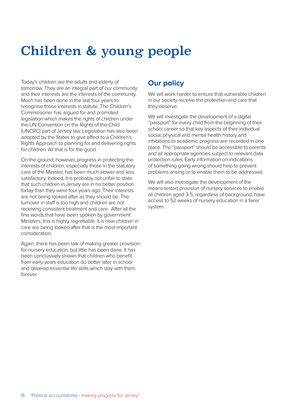## Children & young people

Today's children are the adults and elderly of tomorrow. They are an integral part of our community, and their interests are the interests of the community. Much has been done in the last four years to recognise those interests in statute. The Children's Commissioner has argued for and promoted legislation which makes the rights of children under the UN Convention on the Rights of the Child (UNCRC) part of Jersey law. Legislation has also been adopted by the States to give effect to a Children's Rights Approach to planning for and delivering rights for children. All that is for the good.

On the ground, however, progress in protecting the interests of children, especially those in the statutory care of the Minister, has been much slower and less satisfactory. Indeed, it is probably not unfair to state that such children in Jersey are in no better position today than they were four years ago. Their interests are not being looked after as they should be. The turnover in staff is too high and children are not receiving consistent treatment and care. After all the fine words that have been spoken by government Ministers, this is highly regrettable. It is how children in care are being looked after that is the most important consideration.

Again, there has been talk of making greater provision for nursery education, but little has been done. It has been conclusively shown that children who benefit from early years education do better later in school and develop essential life skills which stay with them forever.

## **Our policy**

We will work harder to ensure that vulnerable children in our society receive the protection and care that they deserve.

We will investigate the development of a digital "passport" for every child from the beginning of their school career so that key aspects of their individual social, physical and mental health history and inhibitions to academic progress are recorded in one place. The "passport" should be accessible to parents and all appropriate agencies subject to relevant data protection rules. Early information on indications of something going wrong should help to prevent problems arising or to enable them to be addressed.

We will also investigate the development of the means-tested provision of nursery services to enable all children aged 3-5, regardless of background, have access to 52 weeks of nursery education in a fairer system.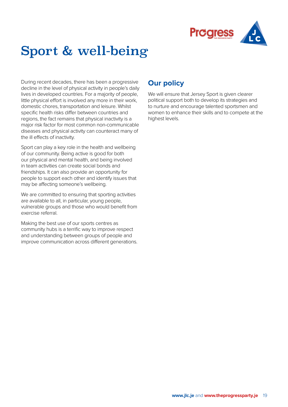

## Sport & well-being

During recent decades, there has been a progressive decline in the level of physical activity in people's daily lives in developed countries. For a majority of people, little physical effort is involved any more in their work, domestic chores, transportation and leisure. Whilst specific health risks differ between countries and regions, the fact remains that physical inactivity is a major risk factor for most common non-communicable diseases and physical activity can counteract many of the ill effects of inactivity.

Sport can play a key role in the health and wellbeing of our community. Being active is good for both our physical and mental health, and being involved in team activities can create social bonds and friendships. It can also provide an opportunity for people to support each other and identify issues that may be affecting someone's wellbeing.

We are committed to ensuring that sporting activities are available to all, in particular, young people, vulnerable groups and those who would benefit from exercise referral.

Making the best use of our sports centres as community hubs is a terrific way to improve respect and understanding between groups of people and improve communication across different generations.

## **Our policy**

We will ensure that Jersey Sport is given clearer political support both to develop its strategies and to nurture and encourage talented sportsmen and women to enhance their skills and to compete at the highest levels.